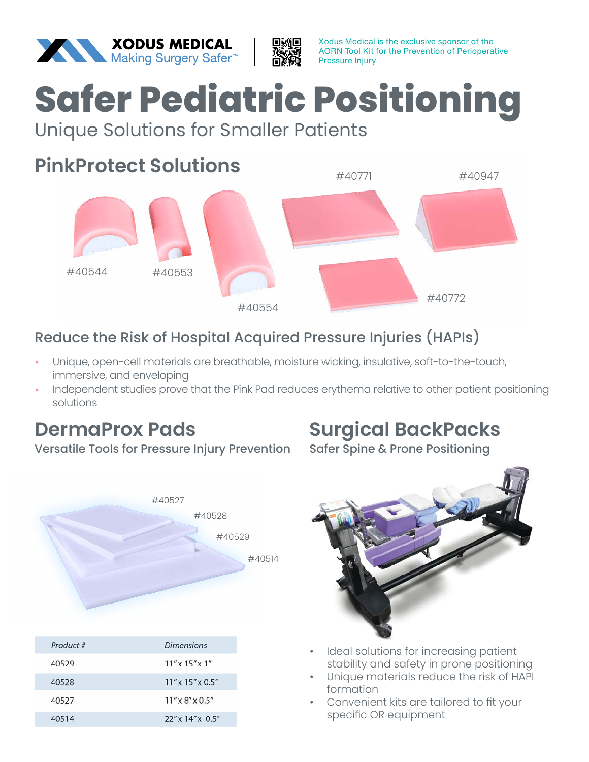



# **Safer Pediatric Positioning**

#### Unique Solutions for Smaller Patients

## **PinkProtect Solutions**



#### Reduce the Risk of Hospital Acquired Pressure Injuries (HAPIs)

- Unique, open-cell materials are breathable, moisture wicking, insulative, soft-to-the-touch, immersive, and enveloping
- Independent studies prove that the Pink Pad reduces erythema relative to other patient positioning solutions

#### **DermaProx Pads**

Versatile Tools for Pressure Injury Prevention



| Product # | Dimensions                      |
|-----------|---------------------------------|
| 40529     | $11''$ x $15''$ x $1''$         |
| 40528     | $11''$ x $15''$ x $0.5''$       |
| 40527     | $11''$ x $8''$ x $0.5''$        |
| 40514     | $22'' \times 14'' \times 0.5''$ |

## **Surgical BackPacks**

Safer Spine & Prone Positioning



- Ideal solutions for increasing patient stability and safety in prone positioning
- Unique materials reduce the risk of HAPI formation
- Convenient kits are tailored to fit your specific OR equipment